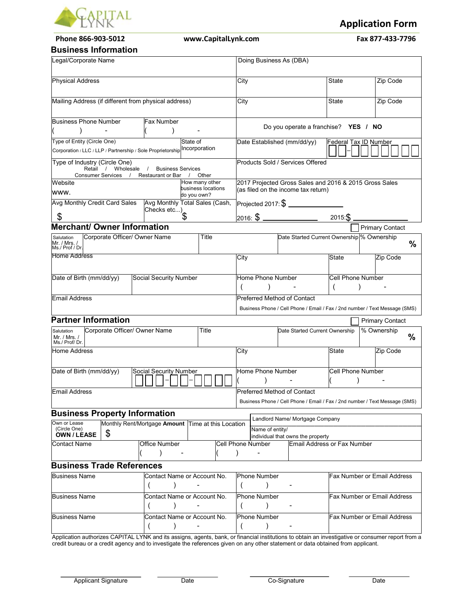

**Phone 866-903-5012 www.CapitalLynk.com Fax 877-433-7796** 

**Application Form**

#### **Business Information**

| ווטווווטוווומנוטוו ככ <del>ט</del> וווכ                                                        |                                   |                                                    |                                    |                                                                             |                             |                                    |               |
|------------------------------------------------------------------------------------------------|-----------------------------------|----------------------------------------------------|------------------------------------|-----------------------------------------------------------------------------|-----------------------------|------------------------------------|---------------|
| Legal/Corporate Name                                                                           |                                   |                                                    | Doing Business As (DBA)            |                                                                             |                             |                                    |               |
| <b>Physical Address</b>                                                                        |                                   | City                                               |                                    | <b>State</b>                                                                | Zip Code                    |                                    |               |
| Mailing Address (if different from physical address)                                           |                                   |                                                    | City                               |                                                                             | <b>State</b>                | Zip Code                           |               |
| <b>Business Phone Number</b>                                                                   | Fax Number                        |                                                    |                                    |                                                                             |                             |                                    |               |
|                                                                                                |                                   |                                                    |                                    | Do you operate a franchise? YES / NO                                        |                             |                                    |               |
| Type of Entity (Circle One)<br>Corporation / LLC / LLP / Partnership / Sole Proprietorship     |                                   | State of<br>Incorporation                          | Date Established (mm/dd/yy)        |                                                                             | Federal Tax ID Number       |                                    |               |
| Type of Industry (Circle One)<br>Retail / Wholesale / Business Services<br>Consumer Services / | Restaurant or Bar                 | Other<br>$\prime$                                  |                                    | Products Sold / Services Offered                                            |                             |                                    |               |
| Website                                                                                        |                                   | How many other                                     |                                    | 2017 Projected Gross Sales and 2016 & 2015 Gross Sales                      |                             |                                    |               |
| www.                                                                                           |                                   | business locations<br>do you own?                  |                                    | (as filed on the income tax return)                                         |                             |                                    |               |
| Avg Monthly Credit Card Sales                                                                  | Avg Moners<br>Checks etc)         | Avg Monthly Total Sales (Cash,                     |                                    | Projected 2017: $\$\$                                                       |                             |                                    |               |
| \$                                                                                             |                                   |                                                    |                                    | 2016: $\frac{2016}{100}$                                                    | 2015:\$                     |                                    |               |
| <b>Merchant/ Owner Information</b>                                                             |                                   |                                                    |                                    |                                                                             |                             | <b>Primary Contact</b>             |               |
| Corporate Officer/ Owner Name<br>Salutation<br>Mr. / Mrs. /<br>Ms./ Prof / Dr.                 |                                   | Title                                              |                                    | Date Started Current Ownership % Ownership                                  |                             |                                    | %             |
| Home Address                                                                                   |                                   |                                                    | City                               |                                                                             | State                       | Zip Code                           |               |
| Date of Birth (mm/dd/yy)                                                                       | Social Security Number            |                                                    | Home Phone Number                  |                                                                             | <b>Cell Phone Number</b>    |                                    |               |
| <b>Email Address</b>                                                                           |                                   |                                                    | <b>Preferred Method of Contact</b> | Business Phone / Cell Phone / Email / Fax / 2nd number / Text Message (SMS) |                             |                                    |               |
| <b>Partner Information</b>                                                                     |                                   |                                                    |                                    |                                                                             |                             | <b>Primary Contact</b>             |               |
| Corporate Officer/ Owner Name<br>Salutation<br>Mr. / Mrs. /<br>Ms./ Prof/ Dr.                  |                                   | Title                                              |                                    | Date Started Current Ownership                                              |                             | % Ownership                        | $\frac{9}{6}$ |
| <b>Home Address</b>                                                                            |                                   |                                                    | City                               |                                                                             | <b>State</b>                | Zip Code                           |               |
| Date of Birth (mm/dd/yy)                                                                       | Social Security Number            |                                                    | Home Phone Number                  |                                                                             | <b>Cell Phone Number</b>    |                                    |               |
| Email Address                                                                                  |                                   |                                                    | <b>Preferred Method of Contact</b> |                                                                             |                             |                                    |               |
|                                                                                                |                                   |                                                    |                                    | Business Phone / Cell Phone / Email / Fax / 2nd number / Text Message (SMS) |                             |                                    |               |
| <b>Business Property Information</b>                                                           |                                   |                                                    |                                    | Landlord Name/ Mortgage Company                                             |                             |                                    |               |
| Own or Lease<br>(Circle One)<br>\$<br><b>OWN/LEASE</b>                                         |                                   | Monthly Rent/Mortgage Amount Time at this Location | Name of entity/                    | individual that owns the property                                           |                             |                                    |               |
| <b>Contact Name</b>                                                                            | <b>Office Number</b><br>$\lambda$ |                                                    | Cell Phone Number<br>$\lambda$     |                                                                             | Email Address or Fax Number |                                    |               |
| <b>Business Trade References</b>                                                               |                                   |                                                    |                                    |                                                                             |                             |                                    |               |
| <b>Business Name</b>                                                                           |                                   | Contact Name or Account No.                        | <b>Phone Number</b>                |                                                                             |                             | Fax Number or Email Address        |               |
| <b>Business Name</b>                                                                           |                                   | Contact Name or Account No.                        | <b>Phone Number</b>                |                                                                             |                             | Fax Number or Email Address        |               |
| Business Name                                                                                  |                                   | Contact Name or Account No.                        | <b>Phone Number</b>                |                                                                             |                             | <b>Fax Number or Email Address</b> |               |
|                                                                                                |                                   |                                                    |                                    |                                                                             |                             |                                    |               |

Application authorizes CAPITAL LYNK and its assigns, agents, bank, or financial institutions to obtain an investigative or consumer report from a credit bureau or a credit agency and to investigate the references given on any other statement or data obtained from applicant.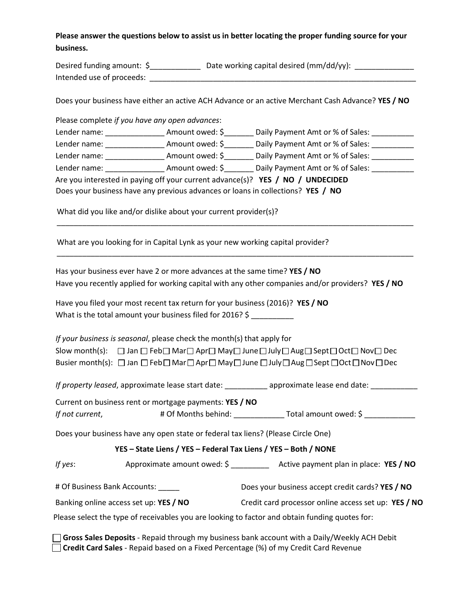### **Please answer the questions below to assist us in better locating the proper funding source for your business.**

| Desired funding amount: \$ | Date working capital desired (mm/dd/yy): |
|----------------------------|------------------------------------------|
| Intended use of proceeds:  |                                          |

Does your business have either an active ACH Advance or an active Merchant Cash Advance? **YES / NO**

| Please complete if you have any open advances:                                                                                                                                                                                 |                 |                                                  |  |  |
|--------------------------------------------------------------------------------------------------------------------------------------------------------------------------------------------------------------------------------|-----------------|--------------------------------------------------|--|--|
| Lender name: Amount owed: \$                                                                                                                                                                                                   |                 | Daily Payment Amt or % of Sales:                 |  |  |
| Lender name: The control                                                                                                                                                                                                       | Amount owed: \$ | Daily Payment Amt or % of Sales:                 |  |  |
| Lender name: The control of the control of the control of the control of the control of the control of the control of the control of the control of the control of the control of the control of the control of the control of |                 | Amount owed: \$ Daily Payment Amt or % of Sales: |  |  |
| Lender name: The control of the control of the control of the control of the control of the control of the control of the control of the control of the control of the control of the control of the control of the control of |                 | Amount owed: \$ Daily Payment Amt or % of Sales: |  |  |
| Are you interested in paying off your current advance(s)? YES / NO / UNDECIDED                                                                                                                                                 |                 |                                                  |  |  |
| Does your business have any previous advances or loans in collections? YES / NO                                                                                                                                                |                 |                                                  |  |  |
| What did you like and/or dislike about your current provider(s)?                                                                                                                                                               |                 |                                                  |  |  |

What are you looking for in Capital Lynk as your new working capital provider?

Has your business ever have 2 or more advances at the same time? **YES / NO** Have you recently applied for working capital with any other companies and/or providers? **YES / NO**

\_\_\_\_\_\_\_\_\_\_\_\_\_\_\_\_\_\_\_\_\_\_\_\_\_\_\_\_\_\_\_\_\_\_\_\_\_\_\_\_\_\_\_\_\_\_\_\_\_\_\_\_\_\_\_\_\_\_\_\_\_\_\_\_\_\_\_\_\_\_\_\_\_\_\_\_\_\_\_\_\_\_\_\_

| Have you filed your most recent tax return for your business (2016)? YES / NO |  |
|-------------------------------------------------------------------------------|--|
| What is the total amount your business filed for 2016? \$                     |  |

*If your business is seasonal*, please check the month(s) that apply for Slow month(s):  $\Box$  Jan  $\Box$  Feb $\Box$  Mar $\Box$  Apr $\Box$  May $\Box$  June  $\Box$  July  $\Box$  Aug $\Box$  Sept  $\Box$  Oct  $\Box$  Nov  $\Box$  Dec Busier month(s):  $\Box$  Jan  $\Box$  Feb  $\Box$  Mar  $\Box$  Apr  $\Box$  May  $\Box$  June  $\Box$  July  $\Box$  Aug  $\Box$  Sept  $\Box$  Oct  $\Box$  Nov  $\Box$  Dec

*If property leased*, approximate lease start date: \_\_\_\_\_\_\_\_\_\_\_\_ approximate lease end date: \_\_\_\_\_\_\_\_\_\_\_\_\_

Current on business rent or mortgage payments: **YES / NO** *If not current*, # Of Months behind: \_\_\_\_\_\_\_\_\_\_\_\_ Total amount owed: \$ \_\_\_\_\_\_\_\_\_\_\_\_

Does your business have any open state or federal tax liens? (Please Circle One)

**YES – State Liens / YES – Federal Tax Liens / YES – Both / NONE**

*If yes*: Approximate amount owed: \$ \_\_\_\_\_\_\_\_\_\_ Active payment plan in place: YES / NO

# Of Business Bank Accounts: \_\_\_\_\_ Does your business accept credit cards? **YES / NO**

Banking online access set up: **YES / NO** Credit card processor online access set up: **YES / NO**

Please select the type of receivables you are looking to factor and obtain funding quotes for:

 **Gross Sales Deposits** - Repaid through my business bank account with a Daily/Weekly ACH Debit **Credit Card Sales** - Repaid based on a Fixed Percentage (%) of my Credit Card Revenue